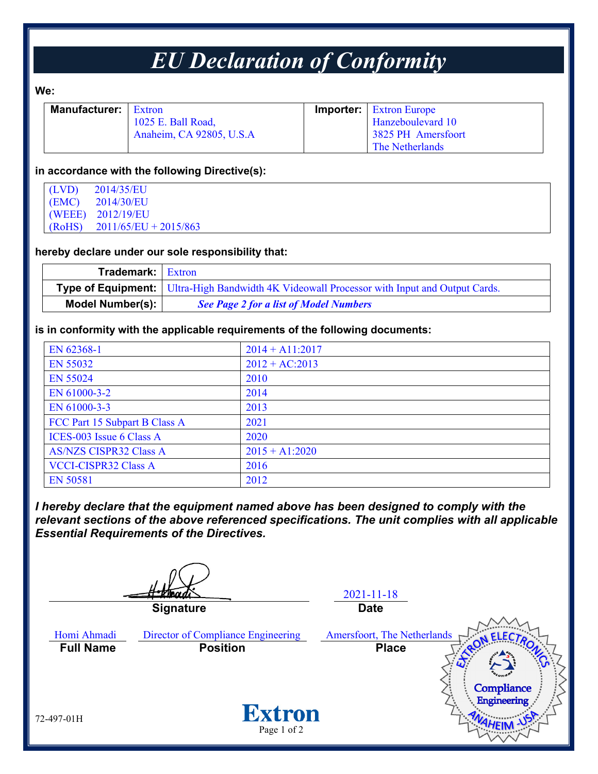## *EU Declaration of Conformity*

#### **We:**

| <b>Manufacturer:</b> Extron |                          | <b>Importer:</b> Extron Europe |
|-----------------------------|--------------------------|--------------------------------|
|                             | 1025 E. Ball Road,       | Hanzeboulevard 10              |
|                             | Anaheim, CA 92805, U.S.A | 3825 PH Amersfoort             |
|                             |                          | The Netherlands                |

#### **in accordance with the following Directive(s):**

| (LVD)  | 2014/35/EU              |
|--------|-------------------------|
| (EMC)  | 2014/30/EU              |
|        | (WEEE) 2012/19/EU       |
| (RoHS) | $2011/65/EU + 2015/863$ |

#### **hereby declare under our sole responsibility that:**

| <b>Trademark:</b> Extron |                                                                                                    |
|--------------------------|----------------------------------------------------------------------------------------------------|
|                          | <b>Type of Equipment:</b> Ultra-High Bandwidth 4K Videowall Processor with Input and Output Cards. |
| Model Number(s):         | <b>See Page 2 for a list of Model Numbers</b>                                                      |

#### **is in conformity with the applicable requirements of the following documents:**

| EN 62368-1                    | $2014 + A11:2017$ |
|-------------------------------|-------------------|
| EN 55032                      | $2012 + AC:2013$  |
| <b>EN 55024</b>               | 2010              |
| EN 61000-3-2                  | 2014              |
| EN 61000-3-3                  | 2013              |
| FCC Part 15 Subpart B Class A | 2021              |
| ICES-003 Issue 6 Class A      | 2020              |
| <b>AS/NZS CISPR32 Class A</b> | $2015 + A1:2020$  |
| <b>VCCI-CISPR32 Class A</b>   | 2016              |
| <b>EN 50581</b>               | 2012              |

*I hereby declare that the equipment named above has been designed to comply with the relevant sections of the above referenced specifications. The unit complies with all applicable Essential Requirements of the Directives.*

2021-11-18 **Signature Date** Homi Ahmadi Director of Compliance Engineering Amersfoort, The Netherlands **Full Name Position Place**Compliance **Engineering Extron** 72-497-01H Page 1 of 2